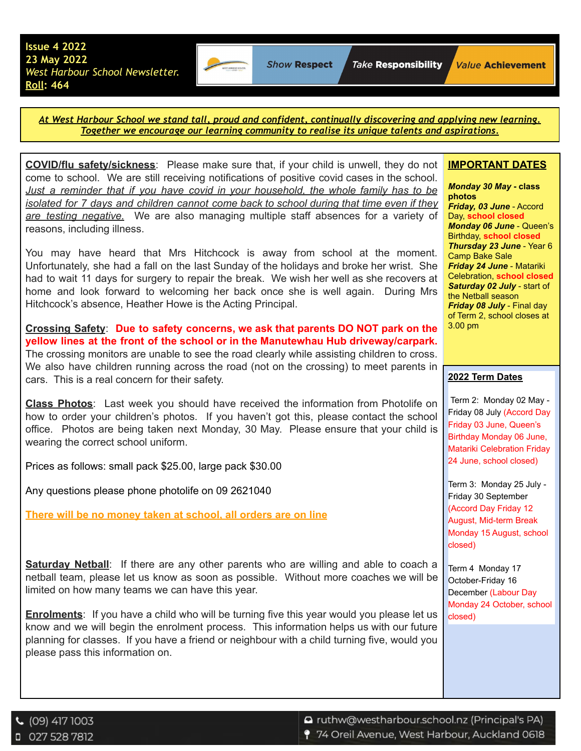

**Show Respect** 

*At West Harbour School we stand tall, proud and confident, continually discovering and applying new learning. Together we encourage our learning community to realise its unique talents and aspirations.*

**COVID/flu safety/sickness**: Please make sure that, if your child is unwell, they do not come to school. We are still receiving notifications of positive covid cases in the school. *Just a reminder that if you have covid in your household, the whole family has to be isolated for 7 days and children cannot come back to school during that time even if they are testing negative.* We are also managing multiple staff absences for a variety of reasons, including illness.

You may have heard that Mrs Hitchcock is away from school at the moment. Unfortunately, she had a fall on the last Sunday of the holidays and broke her wrist. She had to wait 11 days for surgery to repair the break. We wish her well as she recovers at home and look forward to welcoming her back once she is well again. During Mrs Hitchcock's absence, Heather Howe is the Acting Principal.

**Crossing Safety**: **Due to safety concerns, we ask that parents DO NOT park on the yellow lines at the front of the school or in the Manutewhau Hub driveway/carpark.** The crossing monitors are unable to see the road clearly while assisting children to cross. We also have children running across the road (not on the crossing) to meet parents in cars. This is a real concern for their safety.

**Class Photos**: Last week you should have received the information from Photolife on how to order your children's photos. If you haven't got this, please contact the school office. Photos are being taken next Monday, 30 May. Please ensure that your child is wearing the correct school uniform.

Prices as follows: small pack \$25.00, large pack \$30.00

Any questions please phone photolife on 09 2621040

**There will be no money taken at school, all orders are on line**

**Saturday Netball**: If there are any other parents who are willing and able to coach a netball team, please let us know as soon as possible. Without more coaches we will be limited on how many teams we can have this year.

**Enrolments**: If you have a child who will be turning five this year would you please let us know and we will begin the enrolment process. This information helps us with our future planning for classes. If you have a friend or neighbour with a child turning five, would you please pass this information on.

## **IMPORTANT DATES**

*Monday 30 May* **- class photos** *Friday, 03 June* - Accord Day, **school closed** *Monday 06 June* - Queen's Birthday, **school closed** *Thursday 23 June* - Year 6 Camp Bake Sale *Friday 24 June* - Matariki Celebration, **school closed** *Saturday 02 July* - start of the Netball season *Friday 08 July* - Final day of Term 2, school closes at 3.00 pm

## **2022 Term Dates**

Term 2: Monday 02 May - Friday 08 July (Accord Day Friday 03 June, Queen's Birthday Monday 06 June, Matariki Celebration Friday 24 June, school closed)

Term 3: Monday 25 July - Friday 30 September (Accord Day Friday 12 August, Mid-term Break Monday 15 August, school closed)

Term 4 Monday 17 October-Friday 16 December (Labour Day Monday 24 October, school closed)